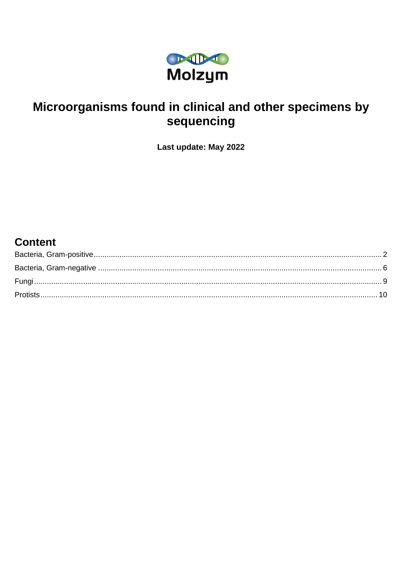

# Microorganisms found in clinical and other specimens by sequencing

Last update: May 2022

# **Content**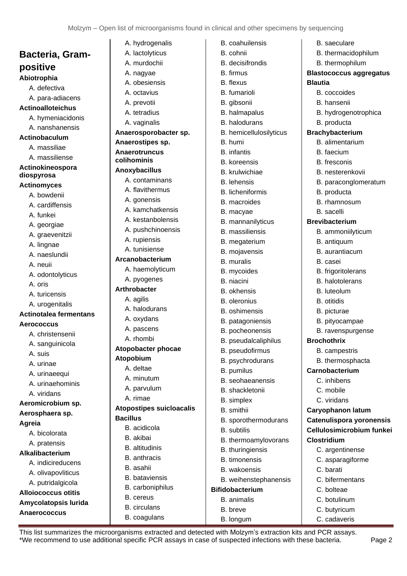<span id="page-1-0"></span>**Bacteria, Grampositive Abiotrophia** A. defectiva A. para-adiacens **Actinoalloteichus** A. hymeniacidonis A. nanshanensis **Actinobaculum** A. massiliae A. massiliense **Actinokineospora diospyrosa Actinomyces**  A. bowdenii A. cardiffensis A. funkei A. georgiae A. graevenitzii A. lingnae A. naeslundii A. neuii A. odontolyticus A. oris A. turicensis A. urogenitalis **Actinotalea fermentans Aerococcus** A. christensenii A. sanguinicola A. suis A. urinae A. urinaeequi A. urinaehominis A. viridans **Aeromicrobium sp. Aerosphaera sp. Agreia** A. bicolorata A. pratensis **Alkalibacterium**  A. indicireducens A. olivapovliticus A. putridalgicola **Alloiococcus otitis Amycolatopsis lurida Anaerococcus**

| A. hydrogenalis                 | B. coahuilensis         | B. saeculare                   |
|---------------------------------|-------------------------|--------------------------------|
| A. lactolyticus                 | B. cohnii               | B. thermacidophilum            |
| A. murdochii                    | <b>B.</b> decisifrondis | B. thermophilum                |
| A. nagyae                       | B. firmus               | <b>Blastococcus aggregatus</b> |
| A. obesiensis                   | B. flexus               | <b>Blautia</b>                 |
| A. octavius                     | <b>B.</b> fumarioli     | B. coccoides                   |
| A. prevotii                     | B. gibsonii             | B. hansenii                    |
| A. tetradius                    | B. halmapalus           | B. hydrogenotrophica           |
| A. vaginalis                    | B. halodurans           | B. producta                    |
| Anaerosporobacter sp.           | B. hemicellulosilyticus | <b>Brachybacterium</b>         |
| Anaerostipes sp.                | B. humi                 | B. alimentarium                |
| <b>Anaerotruncus</b>            | <b>B.</b> infantis      | B. faecium                     |
| colihominis                     | <b>B.</b> koreensis     | B. fresconis                   |
| Anoxybacillus                   | <b>B.</b> krulwichiae   | B. nesterenkovii               |
| A. contaminans                  | <b>B.</b> lehensis      | B. paraconglomeratum           |
| A. flavithermus                 | <b>B.</b> licheniformis | B. producta                    |
| A. gonensis                     | <b>B.</b> macroides     | B. rhamnosum                   |
| A. kamchatkensis                | B. macyae               | <b>B.</b> sacelli              |
| A. kestanbolensis               | B. mannanilyticus       | <b>Brevibacterium</b>          |
| A. pushchinoensis               | <b>B.</b> massiliensis  | B. ammoniilyticum              |
| A. rupiensis                    | B. megaterium           | B. antiquum                    |
| A. tunisiense                   | B. mojavensis           | B. aurantiacum                 |
| Arcanobacterium                 | <b>B.</b> muralis       | B. casei                       |
| A. haemolyticum                 | B. mycoides             | B. frigoritolerans             |
| A. pyogenes                     | B. niacini              | B. halotolerans                |
| <b>Arthrobacter</b>             | <b>B.</b> okhensis      | B. luteolum                    |
| A. agilis                       | <b>B.</b> oleronius     | <b>B.</b> otitidis             |
| A. halodurans                   | <b>B.</b> oshimensis    | B. picturae                    |
| A. oxydans                      | B. patagoniensis        | B. pityocampae                 |
| A. pascens                      | B. pocheonensis         | B. ravenspurgense              |
| A. rhombi                       | B. pseudalcaliphilus    | <b>Brochothrix</b>             |
| Atopobacter phocae              | B. pseudofirmus         | B. campestris                  |
| Atopobium                       | B. psychrodurans        | B. thermosphacta               |
| A. deltae                       | B. pumilus              | Carnobacterium                 |
| A. minutum                      | B. seohaeanensis        | C. inhibens                    |
| A. parvulum                     | B. shackletonii         | C. mobile                      |
| A. rimae                        | B. simplex              | C. viridans                    |
| <b>Atopostipes suicloacalis</b> | B. smithii              | Caryophanon latum              |
| <b>Bacillus</b>                 | B. sporothermodurans    | Catenulispora yoronensis       |
| B. acidicola                    | <b>B.</b> subtilis      | Cellulosimicrobium funkei      |
| B. akibai                       | B. thermoamylovorans    | <b>Clostridium</b>             |
| <b>B.</b> altitudinis           | B. thuringiensis        | C. argentinense                |
| <b>B.</b> anthracis             | <b>B.</b> timonensis    | C. asparagiforme               |
| B. asahii                       | B. wakoensis            | C. barati                      |
| <b>B.</b> bataviensis           | B. weihenstephanensis   | C. bifermentans                |
| B. carboniphilus                | <b>Bifidobacterium</b>  | C. bolteae                     |
| B. cereus                       | <b>B.</b> animalis      | C. botulinum                   |
| <b>B.</b> circulans             | B. breve                | C. butyricum                   |
| B. coagulans                    | B. longum               | C. cadaveris                   |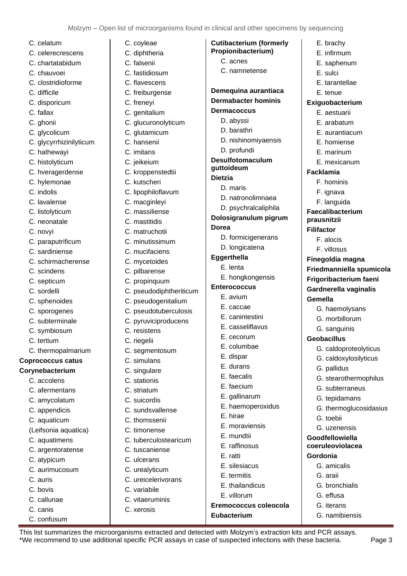**Cutibacterium (formerly Propionibacterium)** C. acnes C. namnetense

E. brachy E. infirmum E. saphenum E. sulci E. tarantellae E. tenue **Exiguobacterium** E. aestuarii E. arabatum E. aurantiacum E. homiense E. marinum E. mexicanum

**Facklamia**

**Gemella**

F. hominis F. ignava F. languida **Faecalibacterium prausnitzii Filifactor** F. alocis F. villosus **Finegoldia magna**

**Friedmanniella spumicola Frigoribacterium faeni Gardnerella vaginalis**

G. haemolysans G. morbillorum G. sanguinis **Geobacillus**

> G. caldoproteolyticus G. caldoxylosilyticus

G. stearothermophilus G. subterraneus G. tepidamans

G. thermoglucosidasius

G. pallidus

G. toebii G. uzenensis **Goodfellowiella coeruleoviolacea**

**Gordonia** 

G. amicalis G. araii

G. bronchialis G. effusa G. iterans G. namibiensis

**Demequina aurantiaca Dermabacter hominis**

D. nishinomiyaensis

D. natronolimnaea D. psychralcaliphila **Dolosigranulum pigrum**

> D. formicigenerans D. longicatena

E. hongkongensis

E. haemoperoxidus

E. moraviensis E. mundtii E. raffinosus E. ratti

E. silesiacus E. termitis E. thailandicus E. villorum

**Eubacterium**

**Eremococcus coleocola**

E. hirae

**Dermacoccus**  D. abyssi D. barathri

D. profundi **Desulfotomaculum** 

**guttoideum Dietzia**

**Dorea**

**Eggerthella** E. lenta

**Enterococcus** E. avium E. caccae E. canintestini E. casseliflavus E. cecorum E. columbae E. dispar E. durans E. faecalis E. faecium E. gallinarum

D. maris

- C. celatum
- C. celerecrescens
- C. chartatabidum
- C. chauvoei
- C. clostridioforme
- C. difficile
- C. disporicum
- C. fallax
- C. ghonii
- C. glycolicum
- C. glycyrrhizinilyticum
- C. hathewayi
- C. histolyticum
- C. hveragerdense
- C. hylemonae
- C. indolis
- C. lavalense
- C. listolyticum
- C. neonatale
- C. novyi
- C. paraputrificum
- C. sardiniense
- C. schirmacherense
- C. scindens
- C. septicum
- C. sordelli
- C. sphenoides
- C. sporogenes
- C. subterminale
- C. symbiosum
- C. tertium
- C. thermopalmarium

## **Coprococcus catus**

- **Corynebacterium**
	- C. accolens
	- C. afermentans
	- C. amycolatum
	- C. appendicis
	- C. aquaticum
	- (Leifsonia aquatica)
	- C. aquatimens
	- C. argentoratense
	- C. atypicum
	- C. aurimucosum
	- C. auris
	- C. bovis
	- C. callunae
	- C. canis
	- C. confusum
- C. coyleae
- C. diphtheria
- C. falsenii
- C. fastidiosum
- C. flavescens
- C. freiburgense
- C. freneyi
- C. genitalium
- C. glucuronolyticum
- C. glutamicum
- C. hansenii
- C. imitans
- C. jeikeium
- C. kroppenstedtii
- C. kutscheri
- C. lipophiloflavum
- C. macginleyi
- C. massiliense
- C. mastitidis
- C. matruchotii
- 
- C. minutissimum
- C. mucifaciens
- C. mycetoides
- C. pilbarense
- C. propinquum
- C. pseudodiphtheriticum
- C. pseudogenitalium
- C. pseudotuberculosis
- C. pyruviciproducens
- C. resistens
- C. riegelii
- C. segmentosum
- C. simulans
- C. singulare
- C. stationis
- C. striatum
- C. suicordis
- C. sundsvallense
- C. thomssenii
- C. timonense
- C. tuberculostearicum
- C. tuscaniense
- C. ulcerans
- 
- C. urealyticum
- C. ureicelerivorans
- C. variabile
- C. vitaeruminis

This list summarizes the microorganisms extracted and detected with Molzym's extraction kits and PCR assays.

\*We recommend to use additional specific PCR assays in case of suspected infections with these bacteria. Page 3

C. xerosis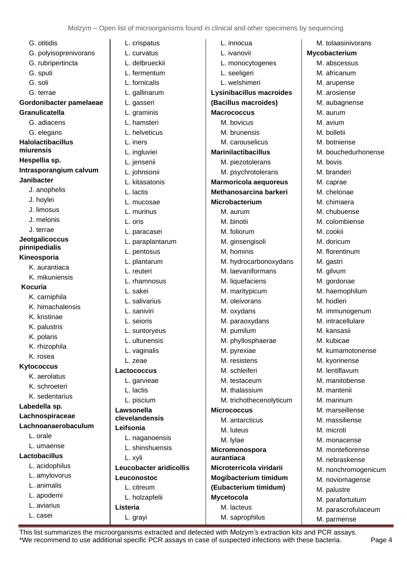G. otitidis G. polyisoprenivorans G. rubripertincta G. sputi G. soli G. terrae **Gordonibacter pamelaeae Granulicatella** G. adiacens G. elegans **Halolactibacillus miurensis Hespellia sp. Intrasporangium calvum Janibacter** J. anophelis J. hoylei J. limosus J. melonis J. terrae **Jeotgalicoccus pinnipedialis Kineosporia** K. aurantiaca K. mikuniensis **Kocuria** K. carniphila K. himachalensis K. kristinae K. palustris K. polaris K. rhizophila K. rosea **Kytococcus** K. aerolatus K. schroeteri K. sedentarius **Labedella sp. Lachnospiraceae Lachnoanaerobaculum** L. orale L. umaense **Lactobacillus** L. acidophilus L. amylovorus L. animalis L. apodemi L. aviarius

L. casei

L. crispatus L. curvatus L. delbrueckii L. fermentum L. fornicalis L. gallinarum L. gasseri L. graminis L. hamsteri L. helveticus L. iners L. ingluviei L. jensenii L. johnsonii L. kitasatonis L. lactis L. mucosae L. murinus L. oris L. paracasei L. paraplantarum L. pentosus L. plantarum L. reuteri L. rhamnosus L. sakei L. salivarius L. saniviri L. seioris L. suntoryeus L. ultunensis L. vaginalis L. zeae **Lactococcus** L. garvieae L. lactis L. piscium **Lawsonella clevelandensis Leifsonia** L. naganoensis L. shinshuensis L. xyli **Leucobacter aridicollis Leuconostoc** L. citreum L. holzapfelii **Listeria** L. grayi L. innocua L. ivanovii

L. monocytogenes L. seeligeri L. welshimeri **Lysinibacillus macroides (Bacillus macroides) Macrococcus** M. bovicus M. brunensis M. carouselicus **Marinilactibacillus**  M. piezotolerans M. psychrotolerans **Marmoricola aequoreus Methanosarcina barkeri Microbacterium** M. aurum M. binotii M. foliorum M. ginsengisoli M. hominis M. hydrocarbonoxydans M. laevaniformans M. liquefaciens M. maritypicum M. oleivorans M. oxydans M. paraoxydans M. pumilum M. phyllosphaerae M. pyrexiae M. resistens M. schleiferi M. testaceum M. thalassium M. trichothecenolyticum **Micrococcus** M. antarcticus M. luteus M. lylae **Micromonospora aurantiaca Microterricola viridarii Mogibacterium timidum (Eubacterium timidum) Mycetocola** M. lacteus M. saprophilus

M. tolaasinivorans **Mycobacterium** M. abscessus M. africanum M. arupense M. arosiense M. aubagnense M. aurum M. avium M. bolletii M. botniense M. bouchedurhonense M. bovis M. branderi M. caprae M. chelonae M. chimaera M. chubuense M. colombiense M. cookii M. doricum M. florentinum M. gastri M. gilvum M. gordonae M. haemophilum M. hodleri M. immunogenum M. intracellulare M. kansasii M. kubicae M. kumamotonense M. kyorinense M. lentiflavum M. manitobense M. mantenii M. marinum M. marseillense M. massiliense M. microti M. monacense M. montefiorense M. nebraskense M. nonchromogenicum M. noviomagense M. palustre M. parafortuitum M. parascrofulaceum M. parmense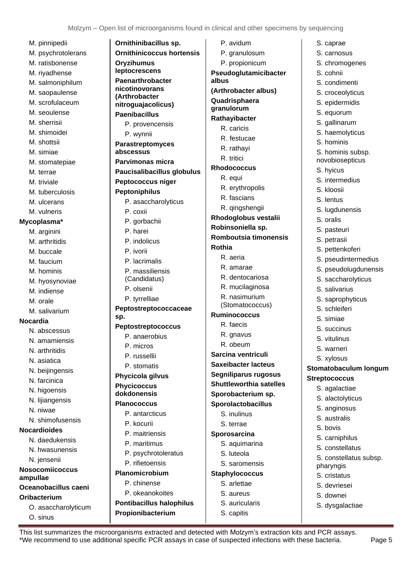M. pinnipedii M. psychrotolerans M. ratisbonense M. riyadhense M. salmoniphilum M. saopaulense M. scrofulaceum M. seoulense M. sherrisii M. shimoidei M. shottsii M. simiae M. stomatepiae M. terrae M. triviale M. tuberculosis M. ulcerans M. vulneris **Mycoplasma\*** M. arginini M. arthritidis M. buccale M. faucium M. hominis M. hyosynoviae M. indiense M. orale M. salivarium **Nocardia** N. abscessus N. amamiensis N. arthritidis N. asiatica N. beijingensis N. farcinica N. higoensis N. lijiangensis N. niwae N. shimofusensis **Nocardioides** N. daedukensis N. hwasunensis N. jensenii **Nosocomiicoccus ampullae Oceanobacillus caeni Oribacterium**  O. asaccharolyticum O. sinus **sp.**

**Ornithinibacillus sp. Ornithinicoccus hortensis Oryzihumus leptocrescens Paenarthrobacter nicotinovorans (Arthrobacter nitroguajacolicus) Paenibacillus**  P. provencensis P. wynnii **Parastreptomyces abscessus Parvimonas micra Paucisalibacillus globulus Peptococcus niger Peptoniphilus** P. asaccharolyticus P. coxii P. gorbachii P. harei P. indolicus P. ivorii P. lacrimalis P. massiliensis (Candidatus) P. olsenii P. tyrrelliae **Peptostreptococcaceae Peptostreptococcus** P. anaerobius P. micros P. russellii P. stomatis **Phycicola gilvus Phycicoccus dokdonensis Planococcus** P. antarcticus P. kocurii P. maitriensis P. maritimus P. psychrotoleratus P. rifietoensis **Planomicrobium** P. chinense P. okeanokoites **Pontibacillus halophilus Propionibacterium** P. avidum P. granulosum P. propionicum **Pseudoglutamicibacter albus (Arthrobacter albus) Quadrisphaera granulorum Rathayibacter** R. caricis R. festucae R. rathayi R. tritici **Rhodococcus** R. equi R. erythropolis R. fascians R. qingshengii **Rhodoglobus vestalii Robinsoniella sp. Romboutsia timonensis Rothia** R. aeria R. amarae R. dentocariosa R. mucilaginosa R. nasimurium (Stomatococcus) **Ruminococcus** R. faecis R. gnavus R. obeum **Sarcina ventriculi Saxeibacter lacteus Segniliparus rugosus Shuttleworthia satelles Sporobacterium sp. Sporolactobacillus** S. inulinus S. terrae **Sporosarcina** S. aquimarina S. luteola S. saromensis **Staphylococcus** S. arlettae S. aureus S. auricularis S. capitis

S. caprae S. carnosus S. chromogenes S. cohnii S. condimenti S. croceolyticus S. epidermidis S. equorum S. gallinarum S. haemolyticus S. hominis S. hominis subsp. novobiosepticus S. hyicus S. intermedius S. kloosii S. lentus S. lugdunensis S. oralis S. pasteuri S. petrasii S. pettenkoferi S. pseudintermedius S. pseudolugdunensis S. saccharolyticus S. salivarius S. saprophyticus S. schleiferi S. simiae S. succinus S. vitulinus S. warneri S. xylosus **Stomatobaculum longum Streptococcus** S. agalactiae S. alactolyticus S. anginosus S. australis S. bovis S. carniphilus S. constellatus S. constellatus subsp. pharyngis S. cristatus S. devriesei S. downei S. dysgalactiae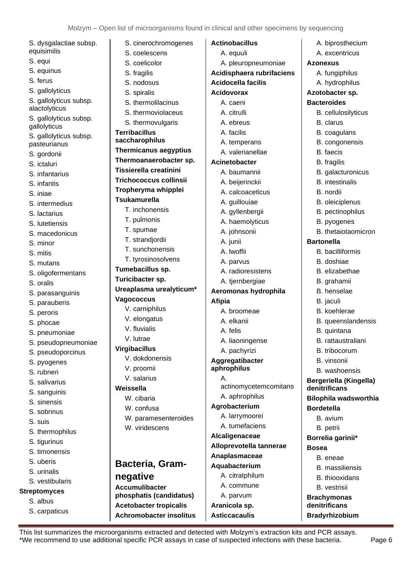S. dysgalactiae subsp. equisimilis S. equi S. equinus S. ferus S. gallolyticus S. gallolyticus subsp. alactolyticus S. gallolyticus subsp. gallolyticus S. gallolyticus subsp. pasteurianus S. gordonii S. ictaluri S. infantarius S. infantis S. iniae S. intermedius S. lactarius S. lutetiensis S. macedonicus S. minor S. mitis S. mutans S. oligofermentans S. oralis S. parasanguinis S. parauberis S. peroris S. phocae S. pneumoniae S. pseudopneumoniae S. pseudoporcinus S. pyogenes S. rubneri S. salivarius S. sanguinis S. sinensis S. sobrinus S. suis S. thermophilus S. tigurinus S. timonensis S. uberis S. urinalis S. vestibularis **Streptomyces**  S. albus S. carpaticus

S. cinerochromogenes S. coelescens S. coelicolor S. fragilis S. nodosus S. spiralis S. thermolilacinus S. thermoviolaceus S. thermovulgaris **Terribacillus saccharophilus Thermicanus aegyptius Thermoanaerobacter sp. Tissierella creatinini Trichococcus collinsii Tropheryma whipplei Tsukamurella** T. inchonensis T. pulmonis T. spumae T. strandjordii T. sunchonensis T. tyrosinosolvens **Tumebacillus sp. Turicibacter sp. Ureaplasma urealyticum\* Vagococcus** V. carniphilus V. elongatus V. fluvialis V. lutrae **Virgibacillus** V. dokdonensis V. proomii V. salarius **Weissella** W. cibaria W. confusa W. paramesenteroides W. viridescens **Bacteria, Gramnegative Accumulibacter phosphatis (candidatus) Acetobacter tropicalis Achromobacter insolitus Afipia** A. **Asticcacaulis** 

**Actinobacillus**  A. equuli A. pleuropneumoniae **Acidisphaera rubrifaciens Acidocella facilis Acidovorax** A. caeni A. citrulli A. ebreus A. facilis A. temperans A. valerianellae **Acinetobacter** A. baumannii A. beijerinckii A. calcoaceticus A. guillouiae A. gyllenbergii A. haemolyticus A. johnsonii A. junii A. lwoffii A. parvus A. radioresistens A. tjernbergiae **Aeromonas hydrophila** A. broomeae A. elkanii A. felis A. liaoningense A. pachyrizi **Aggregatibacter aphrophilus** actinomycetemcomitans A. aphrophilus **Agrobacterium** A. larrymoorei A. tumefaciens **Alcaligenaceae Alloprevotella tannerae Anaplasmaceae Aquabacterium** A. citratphilum A. commune A. parvum **Aranicola sp.** A. biprosthecium A. excentricus **Azonexus** A. fungiphilus A. hydrophilus **Azotobacter sp. Bacteroides** B. cellulosilyticus B. clarus B. coagulans B. congonensis B. faecis B. fragilis B. galacturonicus B. intestinalis B. nordii B. oleiciplenus B. pectinophilus B. pyogenes B. thetaiotaomicron **Bartonella** B. bacilliformis B. doshiae B. elizabethae B. grahamii B. henselae B. jaculi B. koehlerae B. queenslandensis B. quintana B. rattaustraliani B. tribocorum B. vinsonii B. washoensis **Bergeriella (Kingella) denitrificans Bilophila wadsworthia Bordetella**  B. avium B. petrii **Borrelia garinii\* Bosea** B. eneae B. massiliensis B. thiooxidans B. vestrisii **Brachymonas denitrificans**

<span id="page-5-0"></span>This list summarizes the microorganisms extracted and detected with Molzym's extraction kits and PCR assays. \*We recommend to use additional specific PCR assays in case of suspected infections with these bacteria. Page 6

**Bradyrhizobium**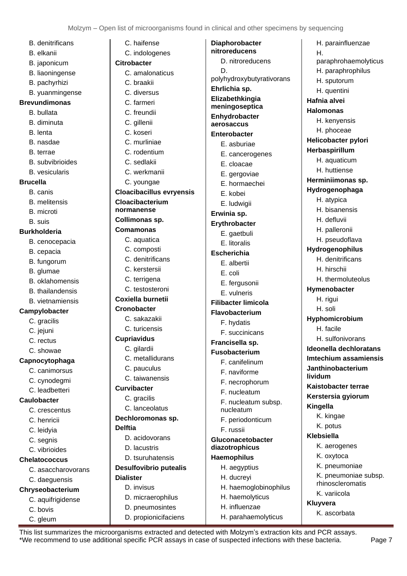- B. denitrificans
- B. elkanii
- B. japonicum
- B. liaoningense
- B. pachyrhizi
- B. yuanmingense

#### **Brevundimonas**

- B. bullata
- B. diminuta
- B. lenta
- B. nasdae
- B. terrae
- B. subvibrioides
- B. vesicularis

#### **Brucella**

- B. canis
- B. melitensis
- B. microti
- B. suis

#### **Burkholderia**

- B. cenocepacia
- B. cepacia
- B. fungorum
- B. glumae
- B. oklahomensis
- B. thailandensis
- B. vietnamiensis

#### **Campylobacter**

- C. gracilis
- C. jejuni
- C. rectus
- C. showae

#### **Capnocytophaga**

- C. canimorsus
- C. cynodegmi
- C. leadbetteri

## **Caulobacter**

- C. crescentus
- C. henricii
- C. leidyia
- C. segnis
- C. vibrioides

### **Chelatococcus**

- C. asaccharovorans
- C. daeguensis
- **Chryseobacterium**
	- C. aquifrigidense
	- C. bovis
	- C. gleum

C. haifense C. indologenes **Citrobacter** C. amalonaticus C. braakii C. diversus C. farmeri C. freundii C. gillenii C. koseri C. murliniae C. rodentium C. sedlakii C. werkmanii C. youngae **Cloacibacillus evryensis Cloacibacterium normanense Collimonas sp. Comamonas** C. aquatica C. composti C. denitrificans C. kerstersii C. terrigena C. testosteroni **Coxiella burnetii Cronobacter**  C. sakazakii C. turicensis **Cupriavidus** C. gilardii C. metallidurans C. pauculus C. taiwanensis **Curvibacter** C. gracilis C. lanceolatus **Dechloromonas sp. Delftia** D. acidovorans D. lacustris

# D. tsuruhatensis **Desulfovibrio putealis**

# **Dialister** D. invisus

- D. micraerophilus D. pneumosintes
- D. propionicifaciens

**Diaphorobacter nitroreducens** D. nitroreducens D. polyhydroxybutyrativorans **Ehrlichia sp. Elizabethkingia meningoseptica Enhydrobacter aerosaccus Enterobacter** E. asburiae E. cancerogenes E. cloacae E. gergoviae E. hormaechei E. kobei

- 
- E. ludwigii
- **Erwinia sp.**

# **Erythrobacter**

- E. gaetbuli
- E. litoralis

# **Escherichia**

- E. albertii
- E. coli
- E. fergusonii
- E. vulneris

### **Filibacter limicola**

- **Flavobacterium** 
	- F. hydatis
	- F. succinicans

## **Francisella sp.**

#### **Fusobacterium**

- F. canifelinum
- F. naviforme
- F. necrophorum
- F. nucleatum
- F. nucleatum subsp. nucleatum
- F. periodonticum
- F. russii

#### **Gluconacetobacter diazotrophicus Haemophilus**

- H. aegyptius
	- H. ducreyi H. haemoglobinophilus
	- H. haemolyticus
		- H. influenzae
	- H. parahaemolyticus

H. parainfluenzae H. paraphrohaemolyticus H. paraphrophilus H. sputorum H. quentini **Hafnia alvei Halomonas**  H. kenyensis H. phoceae **Helicobacter pylori Herbaspirillum** H. aquaticum H. huttiense **Herminiimonas sp. Hydrogenophaga** H. atypica H. bisanensis H. defluvii H. palleronii H. pseudoflava **Hydrogenophilus** H. denitrificans H. hirschii H. thermoluteolus **Hymenobacter** H. rigui H. soli **Hyphomicrobium** H. facile H. sulfonivorans **Ideonella dechloratans Imtechium assamiensis Janthinobacterium lividum Kaistobacter terrae Kerstersia gyiorum Kingella** K. kingae K. potus **Klebsiella** K. aerogenes K. oxytoca K. pneumoniae K. pneumoniae subsp. rhinoscleromatis

- K. variicola
- **Kluyvera**
	- K. ascorbata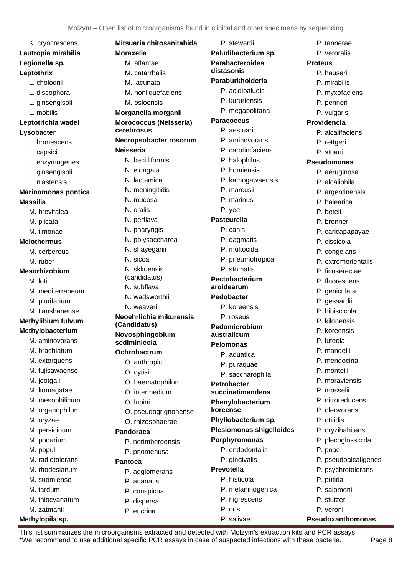| K. cryocrescens            | <b>Mitsuaria chitos</b>       |
|----------------------------|-------------------------------|
| Lautropia mirabilis        | Moraxella                     |
| Legionella sp.             | M. atlantae                   |
| Leptothrix                 | M. catarrhalis                |
| L. cholodnii               | M. lacunata                   |
| L. discophora              | M. nonliquefa                 |
| L. ginsengisoli            | M. osloensis                  |
| L. mobilis                 | Morganella mor                |
| Leptotrichia wadei         | <b>Morococcus (Ne</b>         |
| Lysobacter                 | cerebrosus                    |
| L. brunescens              | Necropsobacter                |
| L. capsici                 | <b>Neisseria</b>              |
| L. enzymogenes             | N. bacilliformi               |
| L. ginsengisoli            | N. elongata                   |
| L. niastensis              | N. lactamica                  |
| <b>Marinomonas pontica</b> | N. meningitidi                |
| <b>Massilia</b>            | N. mucosa                     |
| M. brevitalea              | N. oralis                     |
| M. plicata                 | N. perflava                   |
| M. timonae                 | N. pharyngis                  |
| <b>Meiothermus</b>         | N. polysaccha                 |
| M. cerbereus               | N. shayeganii                 |
| M. ruber                   | N. sicca                      |
| <b>Mesorhizobium</b>       | N. skkuensis                  |
| M. loti                    | (candidatus)                  |
| M. mediterraneum           | N. subflava                   |
| M. plurifarium             | N. wadsworth                  |
| M. tianshanense            | N. weaveri                    |
| Methylibium fulvum         | Neoehrlichia mi               |
| Methylobacterium           | (Candidatus)                  |
| M. aminovorans             | Novosphingobi<br>sediminicola |
| M. brachiatum              | Ochrobactrum                  |
| M. extorquens              | O. anthropic                  |
| M. fujisawaense            |                               |
| M. jeotgali                | O. cytisi                     |
| M. komagatae               | O. haematopl                  |
| M. mesophilicum            | O. intermediu                 |
| M. organophilum            | O. lupini                     |
| M. oryzae                  | O. pseudogrig                 |
|                            | O. rhizosphae                 |
| M. persicinum              | Pandoraea                     |
| M. podarium                | P. norimberge                 |
| M. populi                  | P. pnomenus                   |
| M. radiotolerans           | <b>Pantoea</b>                |
| M. rhodesianum             | P. agglomera                  |
| M. suomiense               | P. ananatis                   |
| M. tardum                  | P. conspicua                  |
| M. thiocyanatum            | P. dispersa                   |
| M. zatmanii                | P. eucrina                    |

# **Methylopila sp.**

| Mitsuaria chitosanitabida       | P. stewartii                    | P. tannerae          |
|---------------------------------|---------------------------------|----------------------|
| <b>Moraxella</b>                | Paludibacterium sp.             | P. veroralis         |
| M. atlantae                     | <b>Parabacteroides</b>          | <b>Proteus</b>       |
| M. catarrhalis                  | distasonis                      | P. hauseri           |
| M. lacunata                     | Paraburkholderia                | P. mirabilis         |
| M. nonliquefaciens              | P. acidipaludis                 | P. myxofaciens       |
| M. osloensis                    | P. kururiensis                  | P. penneri           |
| Morganella morganii             | P. megapolitana                 | P. vulgaris          |
| Morococcus (Neisseria)          | <b>Paracoccus</b>               | <b>Providencia</b>   |
| cerebrosus                      | P. aestuarii                    | P. alcalifaciens     |
| Necropsobacter rosorum          | P. aminovorans                  | P. rettgeri          |
| <b>Neisseria</b>                | P. carotinifaciens              | P. stuartii          |
| N. bacilliformis                | P. halophilus                   | <b>Pseudomonas</b>   |
| N. elongata                     | P. homiensis                    | P. aeruginosa        |
| N. lactamica                    | P. kamogawaensis                | P. alcaliphila       |
| N. meningitidis                 | P. marcusii                     | P. argentinensis     |
| N. mucosa                       | P. marinus                      | P. balearica         |
| N. oralis                       | P. yeei                         | P. beteli            |
| N. perflava                     | <b>Pasteurella</b>              | P. brenneri          |
| N. pharyngis                    | P. canis                        | P. caricapapayae     |
| N. polysaccharea                | P. dagmatis                     | P. cissicola         |
| N. shayeganii                   | P. multocida                    | P. congelans         |
| N. sicca                        | P. pneumotropica                | P. extremorientalis  |
| N. skkuensis                    | P. stomatis                     | P. ficuserectae      |
| (candidatus)                    | Pectobacterium                  | P. fluorescens       |
| N. subflava                     | aroidearum                      | P. geniculata        |
| N. wadsworthii                  | <b>Pedobacter</b>               | P. gessardii         |
| N. weaveri                      | P. koreensis                    | P. hibiscicola       |
| Neoehrlichia mikurensis         | P. roseus                       | P. kilonensis        |
| (Candidatus)                    | Pedomicrobium                   | P. koreensis         |
| Novosphingobium<br>sediminicola | australicum                     | P. luteola           |
| Ochrobactrum                    | <b>Pelomonas</b>                | P. mandelii          |
| O. anthropic                    | P. aquatica                     | P. mendocina         |
| O. cytisi                       | P. puraquae                     | P. monteilii         |
| O. haematophilum                | P. saccharophila                | P. moraviensis       |
| O. intermedium                  | Petrobacter<br>succinatimandens | P. mosselii          |
| O. lupini                       | Phenylobacterium                | P. nitroreducens     |
| O. pseudogrignonense            | koreense                        | P. oleovorans        |
| O. rhizosphaerae                | Phyllobacterium sp.             | P. otitidis          |
| Pandoraea                       | <b>Plesiomonas shigelloides</b> | P. oryzihabitans     |
| P. norimbergensis               | Porphyromonas                   | P. plecoglossicida   |
|                                 | P. endodontalis                 | P. poae              |
| P. pnomenusa<br><b>Pantoea</b>  | P. gingivalis                   | P. pseudoalcaligenes |
|                                 | <b>Prevotella</b>               | P. psychrotolerans   |
| P. agglomerans<br>P. ananatis   | P. histicola                    | P. putida            |
| P. conspicua                    | P. melaninogenica               | P. salomonii         |
| <b>P</b> dienares               | P. nigrescens                   | P. stutzeri          |

This list summarizes the microorganisms extracted and detected with Molzym's extraction kits and PCR assays. \*We recommend to use additional specific PCR assays in case of suspected infections with these bacteria. Page 8

P. oris P. salivae P. veronii

**Pseudoxanthomonas**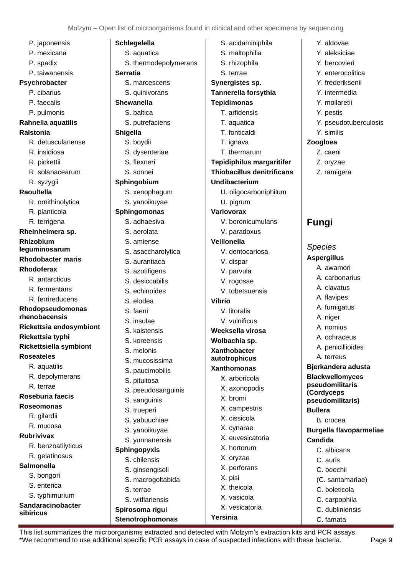P. japonensis P. mexicana P. spadix P. taiwanensis **Psychrobacter** P. cibarius P. faecalis P. pulmonis **Rahnella aquatilis Ralstonia** R. detusculanense R. insidiosa R. pickettii R. solanacearum R. syzygii **Raoultella** R. ornithinolytica R. planticola R. terrigena **Rheinheimera sp. Rhizobium leguminosarum Rhodobacter maris Rhodoferax** R. antarcticus R. fermentans R. ferrireducens **Rhodopseudomonas rhenobacensis Rickettsia endosymbiont Rickettsia typhi Rickettsiella symbiont Roseateles** R. aquatilis R. depolymerans R. terrae **Roseburia faecis Roseomonas** R. gilardii R. mucosa **Rubrivivax**  R. benzoatilyticus R. gelatinosus **Salmonella**  S. bongori S. enterica S. typhimurium

**Sandaracinobacter** 

**sibiricus**

**Schlegelella** S. aquatica S. thermodepolymerans **Serratia** S. marcescens S. quinivorans **Shewanella**  S. baltica S. putrefaciens **Shigella** S. boydii S. dysenteriae S. flexneri S. sonnei **Sphingobium**  S. xenophagum S. yanoikuyae **Sphingomonas** S. adhaesiva S. aerolata S. amiense S. asaccharolytica S. aurantiaca S. azotifigens S. desiccabilis S. echinoides S. elodea S. faeni S. insulae S. kaistensis S. koreensis S. melonis S. mucosissima S. paucimobilis S. pituitosa S. pseudosanguinis S. sanguinis S. trueperi S. yabuuchiae S. yanoikuyae S. yunnanensis **Sphingopyxis** S. chilensis S. ginsengisoli S. acidaminiphila S. maltophilia **Vibrio** X. pisi

- S. rhizophila S. terrae **Synergistes sp. Tannerella forsythia Tepidimonas** T. arfidensis T. aquatica T. fonticaldi T. ignava T. thermarum **Tepidiphilus margaritifer Thiobacillus denitrificans Undibacterium** U. oligocarboniphilum U. pigrum **Variovorax** V. boronicumulans V. paradoxus **Veillonella** V. dentocariosa V. dispar V. parvula V. rogosae V. tobetsuensis V. litoralis V. vulnificus **Weeksella virosa Wolbachia sp. Xanthobacter autotrophicus Xanthomonas** X. arboricola X. axonopodis X. bromi X. campestris X. cissicola X. cynarae X. euvesicatoria X. hortorum X. oryzae X. perforans
- Y. aldovae Y. aleksiciae
	- Y. bercovieri
	- Y. enterocolitica
	- Y. frederiksenii
	- Y. intermedia
	- Y. mollaretii
	- Y. pestis
	- Y. pseudotuberculosis
- Y. similis

# **Zoogloea**

- Z. caeni
- Z. oryzae
- Z. ramigera

# <span id="page-8-0"></span>**Fungi**

*Species* **Aspergillus**

A. awamori

A. carbonarius A. clavatus A. flavipes A. fumigatus A. niger A. nomius A. ochraceus A. penicillioides A. terreus **Bjerkandera adusta Blackwellomyces pseudomilitaris (Cordyceps pseudomilitaris) Bullera** B. crocea **Burgella flavoparmeliae Candida** C. albicans C. auris C. beechii (C. santamariae) C. boleticola C. carpophila C. dubliniensis C. famata

This list summarizes the microorganisms extracted and detected with Molzym's extraction kits and PCR assays. \*We recommend to use additional specific PCR assays in case of suspected infections with these bacteria. Page 9

X. theicola X. vasicola X. vesicatoria

**Yersinia**

S. macrogoltabida

S. terrae S. witflariensis **Spirosoma rigui Stenotrophomonas**